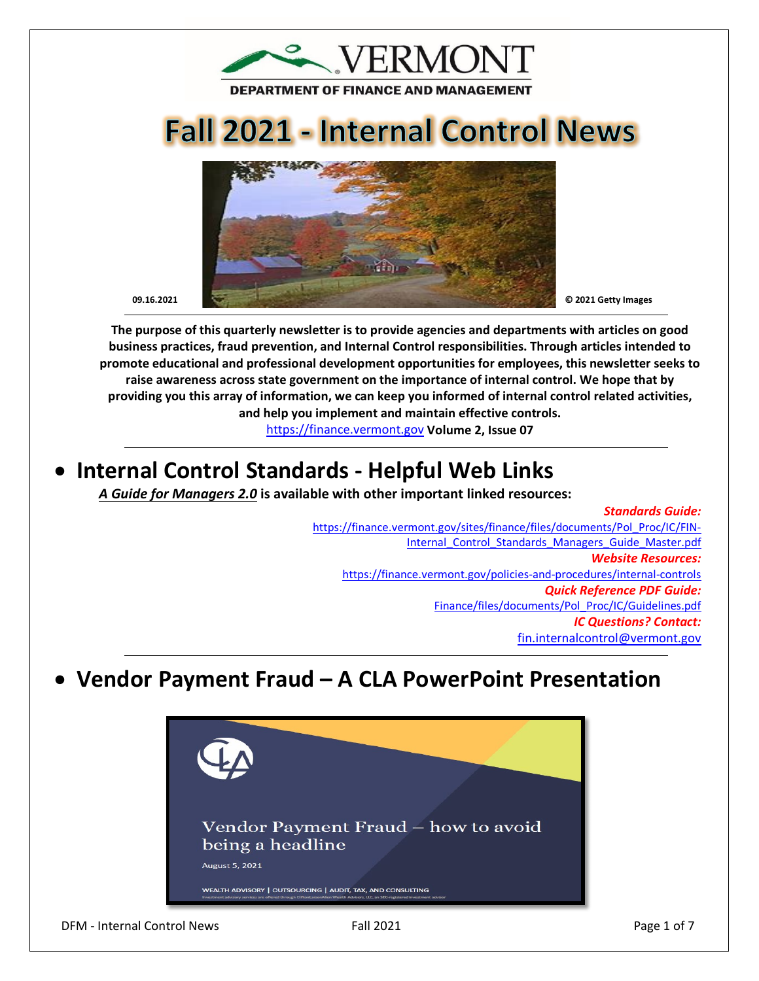

# **Fall 2021 - Internal Control News**



**The purpose of this quarterly newsletter is to provide agencies and departments with articles on good business practices, fraud prevention, and Internal Control responsibilities. Through articles intended to promote educational and professional development opportunities for employees, this newsletter seeks to raise awareness across state government on the importance of internal control. We hope that by providing you this array of information, we can keep you informed of internal control related activities, and help you implement and maintain effective controls.** 

[https://finance.vermont.gov](https://finance.vermont.gov/) **Volume 2, Issue 07**

# • **Internal Control Standards - Helpful Web Links**

*A Guide for Managers 2.0* **is available with other important linked resources:** 

*Standards Guide:* [https://finance.vermont.gov/sites/finance/files/documents/Pol\\_Proc/IC/FIN-](https://finance.vermont.gov/sites/finance/files/documents/Pol_Proc/IC/FIN-Internal_Control_Standards_Managers_Guide_Master.pdf)Internal Control Standards Managers Guide Master.pdf *Website Resources:*  <https://finance.vermont.gov/policies-and-procedures/internal-controls> *Quick Reference PDF Guide:*  [Finance/files/documents/Pol\\_Proc/IC/Guidelines.pdf](https://finance.vermont.gov/sites/finance/files/documents/Pol_Proc/IC/IC%20Guidelines.pdf) *IC Questions? Contact:* [fin.internalcontrol@vermont.gov](mailto:fin.internalcontrol@vermont.gov)

# • **Vendor Payment Fraud – A CLA PowerPoint Presentation**

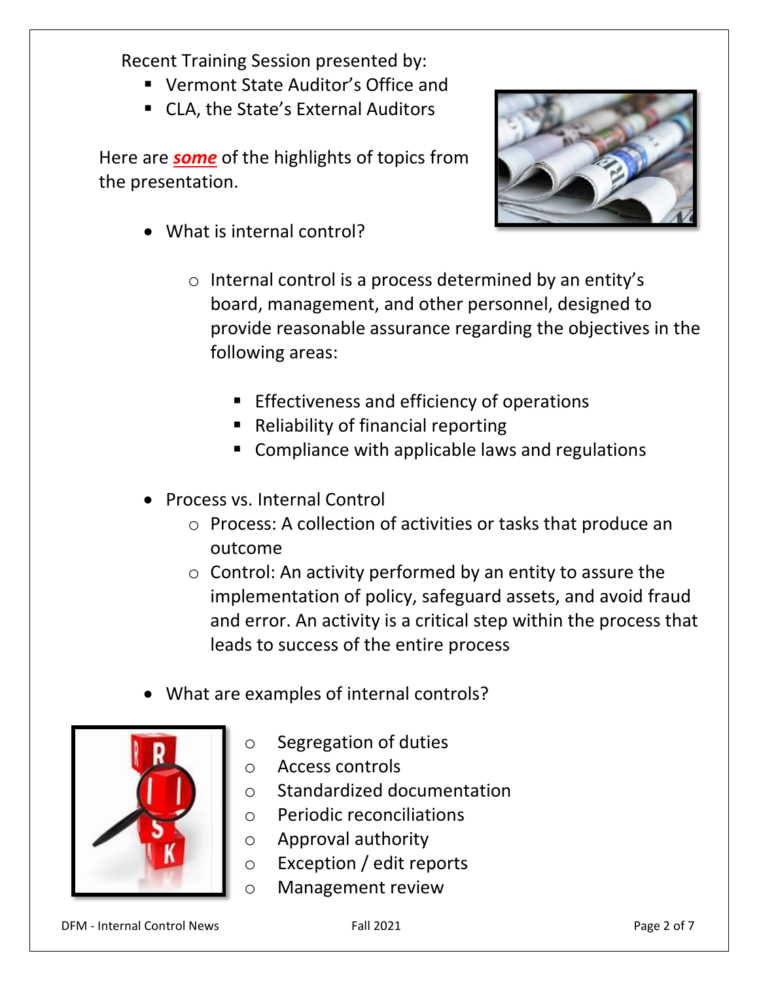Recent Training Session presented by:

- Vermont State Auditor's Office and
- CLA, the State's External Auditors

Here are *some* of the highlights of topics from the presentation.



- What is internal control?
	- o Internal control is a process determined by an entity's board, management, and other personnel, designed to provide reasonable assurance regarding the objectives in the following areas:
		- **Effectiveness and efficiency of operations**
		- Reliability of financial reporting
		- Compliance with applicable laws and regulations
- Process vs. Internal Control
	- o Process: A collection of activities or tasks that produce an outcome
	- $\circ$  Control: An activity performed by an entity to assure the implementation of policy, safeguard assets, and avoid fraud and error. An activity is a critical step within the process that leads to success of the entire process
- What are examples of internal controls?



- o Segregation of duties
- o Access controls
- o Standardized documentation
- o Periodic reconciliations
- o Approval authority
- o Exception / edit reports
- o Management review

DFM - Internal Control News Fall 2021 Page 2 of 7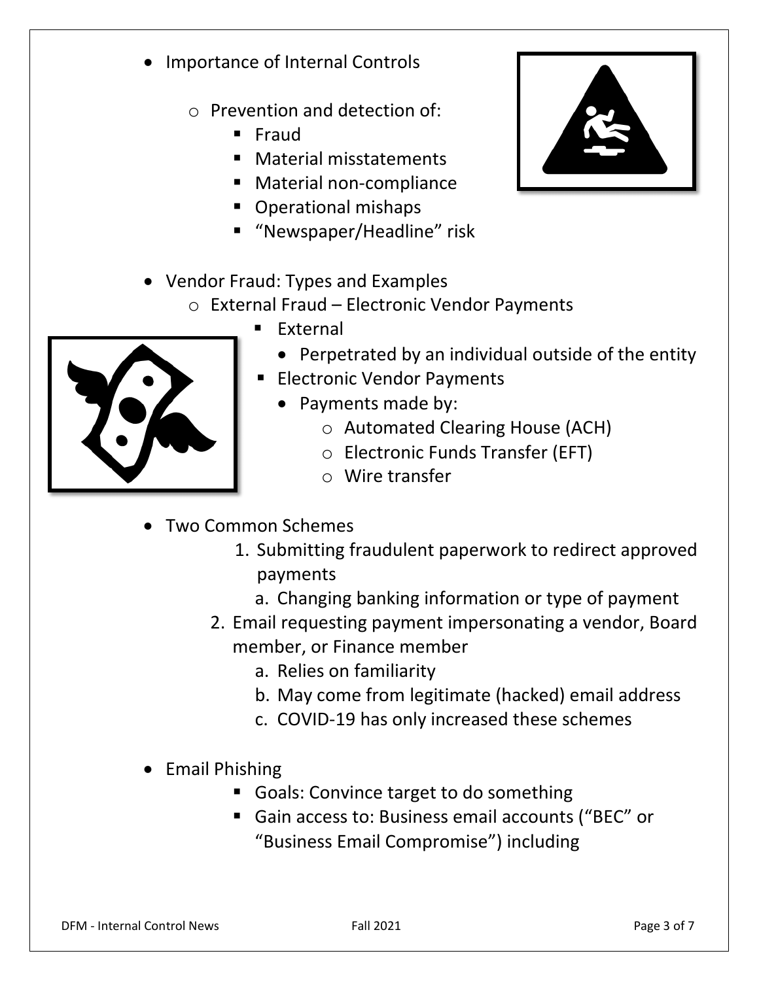- Importance of Internal Controls
	- o Prevention and detection of:
		- **Fraud**
		- Material misstatements
		- Material non-compliance
		- **Operational mishaps**
		- "Newspaper/Headline" risk
- Vendor Fraud: Types and Examples
	- o External Fraud Electronic Vendor Payments
		- **External** 
			- Perpetrated by an individual outside of the entity
		- **Electronic Vendor Payments** 
			- Payments made by:
				- o Automated Clearing House (ACH)
				- o Electronic Funds Transfer (EFT)
				- o Wire transfer
- Two Common Schemes
	- 1. Submitting fraudulent paperwork to redirect approved payments
		- a. Changing banking information or type of payment
	- 2. Email requesting payment impersonating a vendor, Board member, or Finance member
		- a. Relies on familiarity
		- b. May come from legitimate (hacked) email address
		- c. COVID-19 has only increased these schemes
- Email Phishing
	- Goals: Convince target to do something
	- Gain access to: Business email accounts ("BEC" or "Business Email Compromise") including



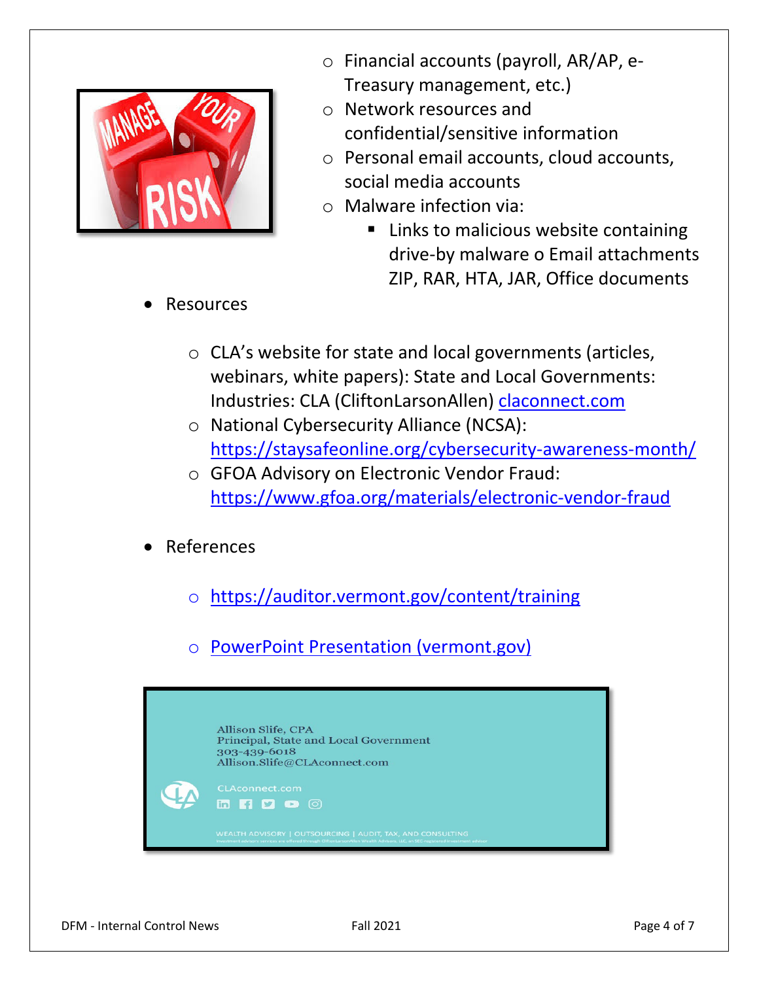

- o Financial accounts (payroll, AR/AP, e-Treasury management, etc.)
- o Network resources and confidential/sensitive information
- o Personal email accounts, cloud accounts, social media accounts
- o Malware infection via:
	- **E** Links to malicious website containing drive-by malware o Email attachments ZIP, RAR, HTA, JAR, Office documents

- **Resources** 
	- o CLA's website for state and local governments (articles, webinars, white papers): State and Local Governments: Industries: CLA (CliftonLarsonAllen) [claconnect.com](https://www.claconnect.com/)
	- o National Cybersecurity Alliance (NCSA): <https://staysafeonline.org/cybersecurity-awareness-month/>
	- o GFOA Advisory on Electronic Vendor Fraud: <https://www.gfoa.org/materials/electronic-vendor-fraud>
- **References** 
	- o <https://auditor.vermont.gov/content/training>
	- o [PowerPoint Presentation \(vermont.gov\)](https://auditor.vermont.gov/sites/auditor/files/documents/Vendor%20Fraud.pdf)

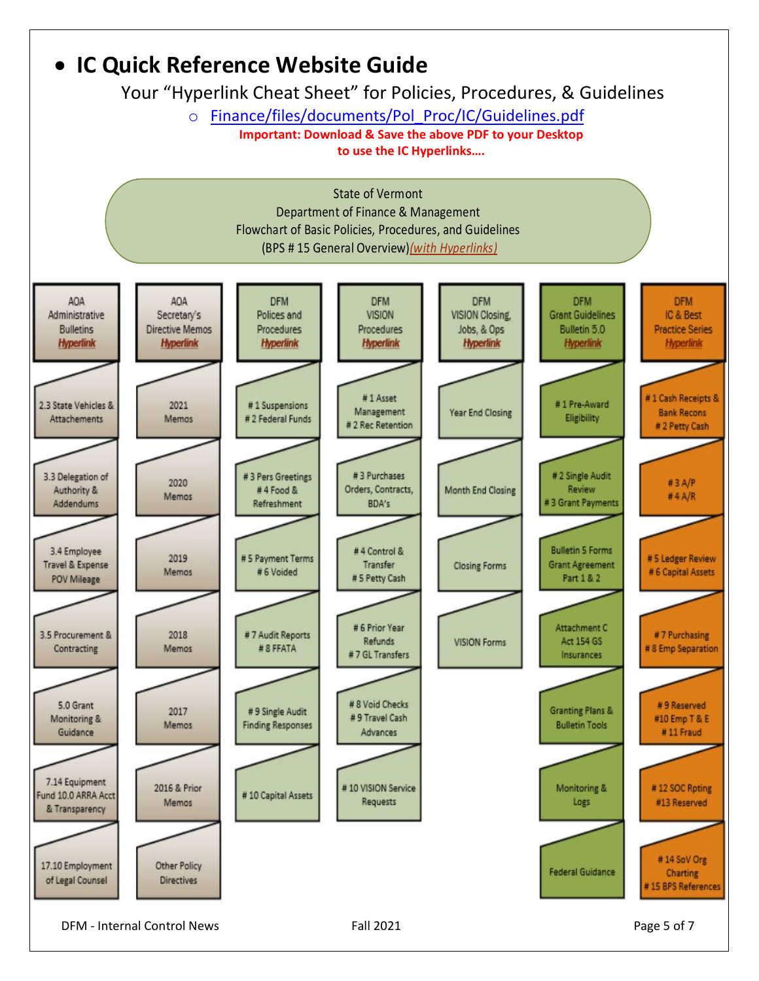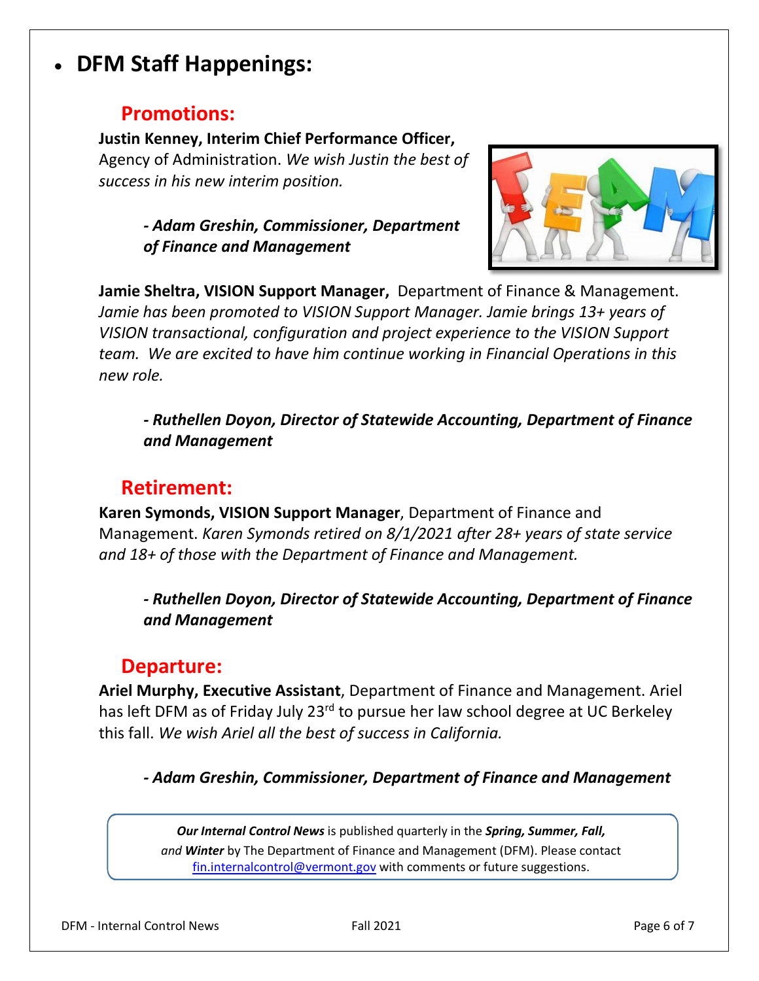## • **DFM Staff Happenings:**

### **Promotions:**

#### **Justin Kenney, Interim Chief Performance Officer,**

Agency of Administration. *We wish Justin the best of success in his new interim position.*

#### *- Adam Greshin, Commissioner, Department of Finance and Management*



**Jamie Sheltra, VISION Support Manager,** Department of Finance & Management. *Jamie has been promoted to VISION Support Manager. Jamie brings 13+ years of VISION transactional, configuration and project experience to the VISION Support team. We are excited to have him continue working in Financial Operations in this new role.*

*- Ruthellen Doyon, Director of Statewide Accounting, Department of Finance and Management* 

### **Retirement:**

**Karen Symonds, VISION Support Manager**, Department of Finance and Management. *Karen Symonds retired on 8/1/2021 after 28+ years of state service and 18+ of those with the Department of Finance and Management.*

*- Ruthellen Doyon, Director of Statewide Accounting, Department of Finance and Management*

### **Departure:**

**Ariel Murphy, Executive Assistant**, Department of Finance and Management. Ariel has left DFM as of Friday July 23<sup>rd</sup> to pursue her law school degree at UC Berkeley this fall. *We wish Ariel all the best of success in California.* 

*- Adam Greshin, Commissioner, Department of Finance and Management*

*Our Internal Control News* is published quarterly in the *Spring, Summer, Fall, and Winter* by The Department of Finance and Management (DFM). Please contact [fin.internalcontrol@vermont.gov](mailto:fin.internalcontrol@vermont.gov) with comments or future suggestions.